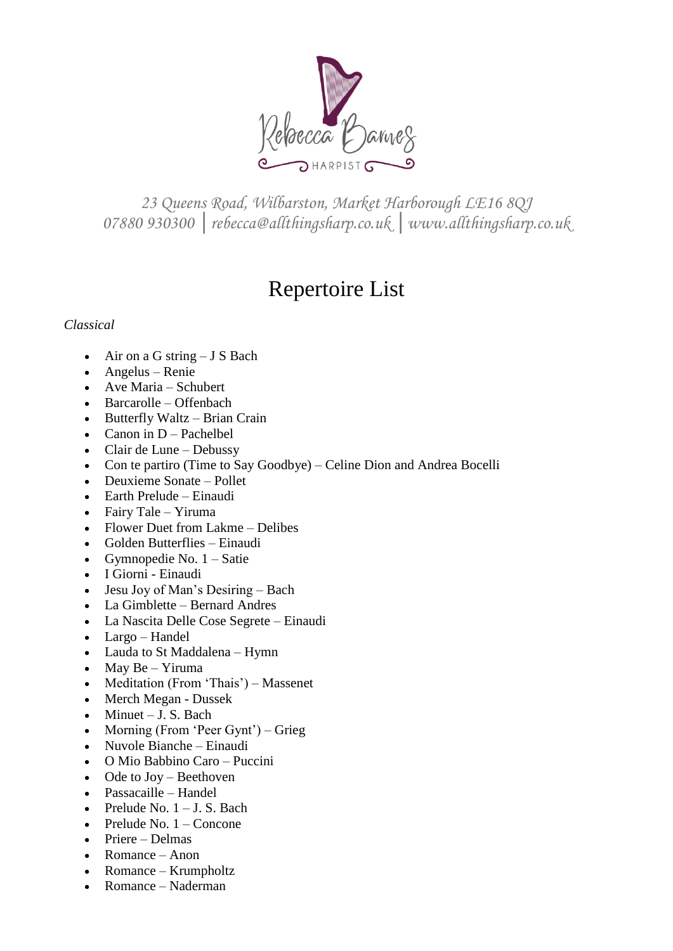

*23 Queens Road, Wilbarston, Market Harborough LE16 8QJ 07880 930300 │rebecca@allthingsharp.co.uk │www.allthingsharp.co.uk*

# Repertoire List

# *Classical*

- $\bullet$  Air on a G string J S Bach
- Angelus Renie
- Ave Maria Schubert
- Barcarolle Offenbach
- Butterfly Waltz Brian Crain
- Canon in  $D$  Pachelbel
- Clair de Lune Debussy
- Con te partiro (Time to Say Goodbye) Celine Dion and Andrea Bocelli
- Deuxieme Sonate Pollet
- Earth Prelude Einaudi
- Fairy Tale Yiruma
- Flower Duet from Lakme Delibes
- Golden Butterflies Einaudi
- Gymnopedie No.  $1 S$ atie
- I Giorni Einaudi
- $\bullet$  Jesu Joy of Man's Desiring Bach
- La Gimblette Bernard Andres
- La Nascita Delle Cose Segrete Einaudi
- Largo Handel
- Lauda to St Maddalena Hymn
- $\bullet$  May Be Yiruma
- Meditation (From 'Thais') Massenet
- Merch Megan Dussek
- $\bullet$  Minuet J. S. Bach
- Morning (From 'Peer Gynt') Grieg
- Nuvole Bianche Einaudi
- O Mio Babbino Caro Puccini
- Ode to Joy Beethoven
- Passacaille Handel
- Prelude No.  $1 J$ . S. Bach
- $\bullet$  Prelude No. 1 Concone
- Priere Delmas
- Romance Anon
- Romance Krumpholtz
- Romance Naderman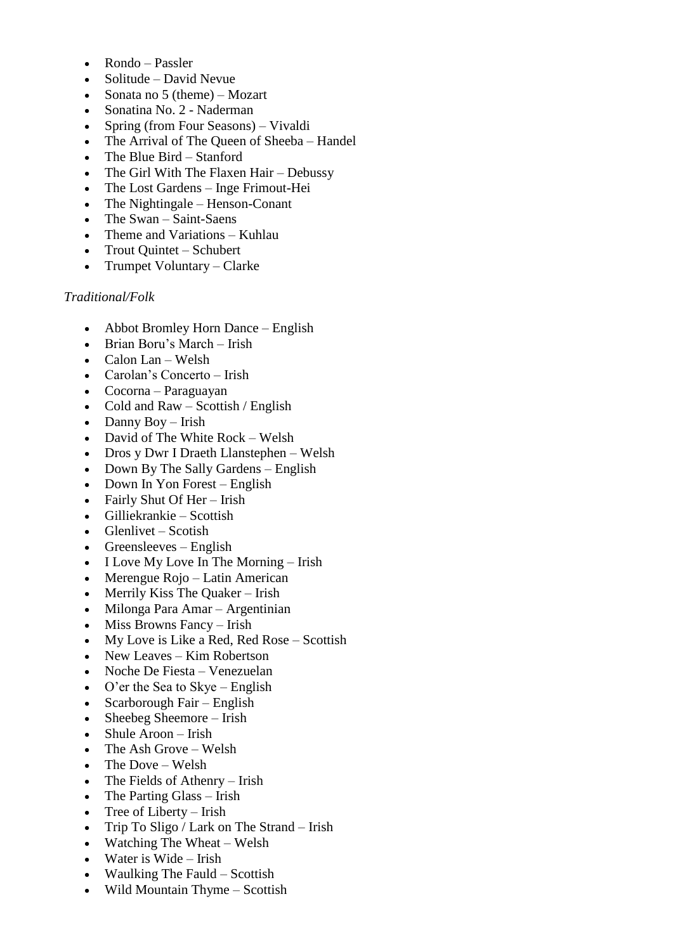- Rondo Passler
- $\bullet$  Solitude David Nevue
- Sonata no 5 (theme) Mozart
- Sonatina No. 2 Naderman
- Spring (from Four Seasons) Vivaldi
- The Arrival of The Queen of Sheeba Handel
- The Blue Bird Stanford
- The Girl With The Flaxen Hair Debussy
- The Lost Gardens Inge Frimout-Hei
- The Nightingale Henson-Conant
- The Swan Saint-Saens
- Theme and Variations Kuhlau
- Trout Quintet Schubert
- Trumpet Voluntary Clarke

#### *Traditional/Folk*

- Abbot Bromley Horn Dance English
- Brian Boru's March Irish
- $\bullet$  Calon Lan Welsh
- Carolan's Concerto Irish
- Cocorna Paraguayan
- $\bullet$  Cold and Raw Scottish / English
- $\bullet$  Danny Boy Irish
- David of The White Rock Welsh
- Dros y Dwr I Draeth Llanstephen Welsh
- Down By The Sally Gardens English
- Down In Yon Forest English
- Fairly Shut Of Her Irish
- Gilliekrankie Scottish
- $\bullet$  Glenlivet Scotish
- $\bullet$  Greensleeves English
- I Love My Love In The Morning Irish
- Merengue Rojo Latin American
- Merrily Kiss The Quaker Irish
- Milonga Para Amar Argentinian
- $\bullet$  Miss Browns Fancy Irish
- My Love is Like a Red, Red Rose Scottish
- New Leaves Kim Robertson
- Noche De Fiesta Venezuelan
- O'er the Sea to Skye English
- Scarborough Fair English
- Sheebeg Sheemore Irish
- Shule Aroon Irish
- The Ash Grove Welsh
- $\bullet$  The Dove Welsh
- The Fields of Athenry Irish
- The Parting Glass Irish
- $\bullet$  Tree of Liberty Irish
- Trip To Sligo / Lark on The Strand Irish
- Watching The Wheat Welsh
- $\bullet$  Water is Wide Irish
- Waulking The Fauld Scottish
- Wild Mountain Thyme Scottish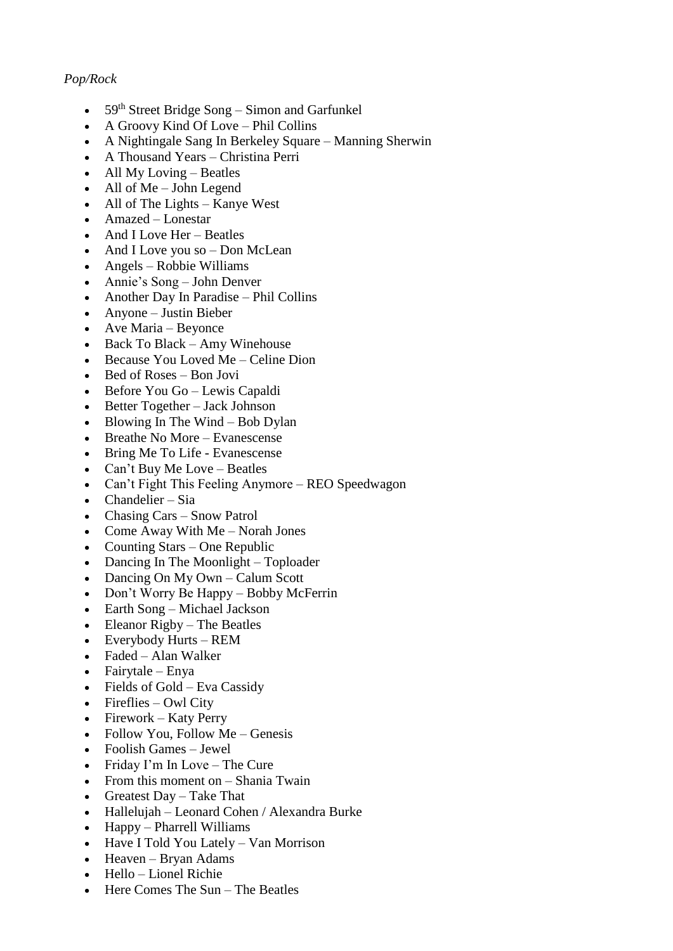# *Pop/Rock*

- $\bullet$  59<sup>th</sup> Street Bridge Song Simon and Garfunkel
- A Groovy Kind Of Love Phil Collins
- A Nightingale Sang In Berkeley Square Manning Sherwin
- A Thousand Years Christina Perri
- $\bullet$  All My Loving Beatles
- All of Me John Legend
- All of The Lights Kanye West
- Amazed Lonestar
- And I Love Her Beatles
- And I Love you so Don McLean
- Angels Robbie Williams
- Annie's Song John Denver
- Another Day In Paradise Phil Collins
- Anyone Justin Bieber
- Ave Maria Beyonce
- Back To Black Amy Winehouse
- $\bullet$  Because You Loved Me Celine Dion
- $\bullet$  Bed of Roses Bon Jovi
- Before You Go Lewis Capaldi
- Better Together Jack Johnson
- Blowing In The Wind Bob Dylan
- Breathe No More Evanescense
- Bring Me To Life Evanescense
- Can't Buy Me Love Beatles
- Can't Fight This Feeling Anymore REO Speedwagon
- Chandelier Sia
- Chasing Cars Snow Patrol
- Come Away With Me Norah Jones
- Counting Stars One Republic
- Dancing In The Moonlight Toploader
- Dancing On My Own Calum Scott
- Don't Worry Be Happy Bobby McFerrin
- Earth Song Michael Jackson
- Eleanor Rigby The Beatles
- Everybody Hurts REM
- Faded Alan Walker
- $\bullet$  Fairytale Enya
- Fields of Gold Eva Cassidy
- $\bullet$  Fireflies Owl City
- $\bullet$  Firework Katy Perry
- Follow You, Follow Me Genesis
- Foolish Games Jewel
- Friday I'm In Love The Cure
- From this moment on  $-$  Shania Twain
- Greatest Day Take That
- Hallelujah Leonard Cohen / Alexandra Burke
- Happy Pharrell Williams
- Have I Told You Lately Van Morrison
- Heaven Bryan Adams
- $\bullet$  Hello Lionel Richie
- Here Comes The Sun The Beatles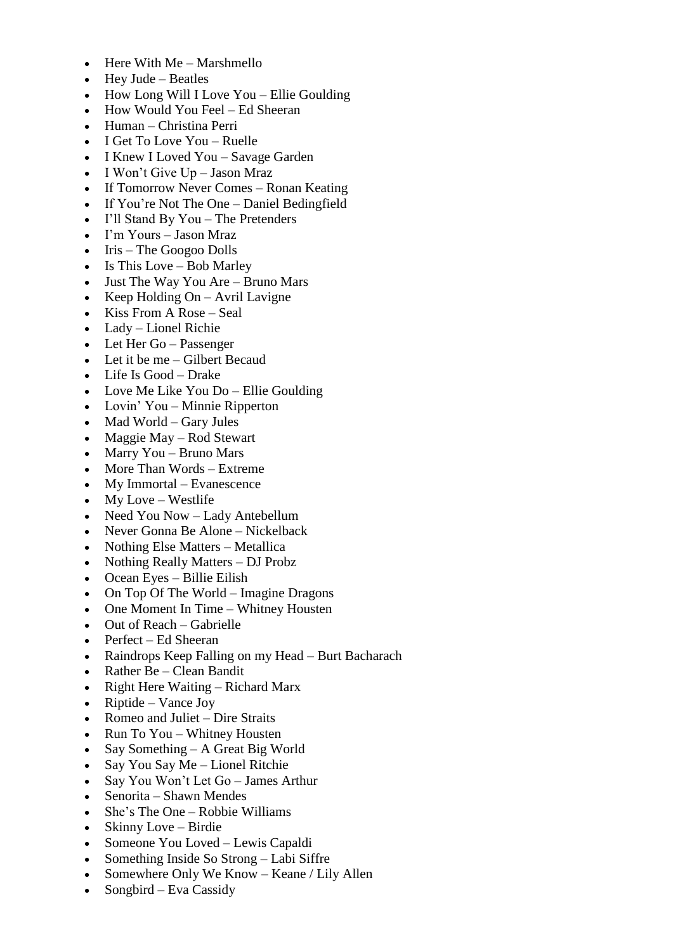- $\bullet$  Here With Me Marshmello
- $\bullet$  Hey Jude Beatles
- $\bullet$  How Long Will I Love You Ellie Goulding
- How Would You Feel Ed Sheeran
- Human Christina Perri
- I Get To Love You Ruelle
- I Knew I Loved You Savage Garden
- $\bullet$  I Won't Give Up Jason Mraz
- If Tomorrow Never Comes Ronan Keating
- If You're Not The One Daniel Bedingfield
- I'll Stand By You The Pretenders
- I'm Yours Jason Mraz
- $\bullet$  Iris The Googoo Dolls
- $\bullet$  Is This Love Bob Marley
- Just The Way You Are Bruno Mars
- Keep Holding  $On Avril$  Lavigne
- $\bullet$  Kiss From A Rose Seal
- Lady Lionel Richie
- Let Her Go Passenger
- Let it be me Gilbert Becaud
- Life Is Good Drake
- Love Me Like You Do Ellie Goulding
- Lovin' You Minnie Ripperton
- $\bullet$  Mad World Gary Jules
- $\bullet$  Maggie May Rod Stewart
- Marry You Bruno Mars
- More Than Words Extreme
- My Immortal Evanescence
- My Love Westlife
- Need You Now Lady Antebellum
- Never Gonna Be Alone Nickelback
- Nothing Else Matters Metallica
- Nothing Really Matters DJ Probz
- Ocean Eyes Billie Eilish
- On Top Of The World Imagine Dragons
- One Moment In Time Whitney Housten
- Out of Reach Gabrielle
- Perfect Ed Sheeran
- Raindrops Keep Falling on my Head Burt Bacharach
- Rather Be Clean Bandit
- Right Here Waiting Richard Marx
- Riptide Vance Joy
- Romeo and Juliet Dire Straits
- Run To You Whitney Housten
- Say Something  $A$  Great Big World
- Say You Say Me Lionel Ritchie
- Say You Won't Let Go James Arthur
- Senorita Shawn Mendes
- She's The One Robbie Williams
- Skinny Love Birdie
- Someone You Loved Lewis Capaldi
- Something Inside So Strong Labi Siffre
- Somewhere Only We Know Keane / Lily Allen
- Songbird Eva Cassidy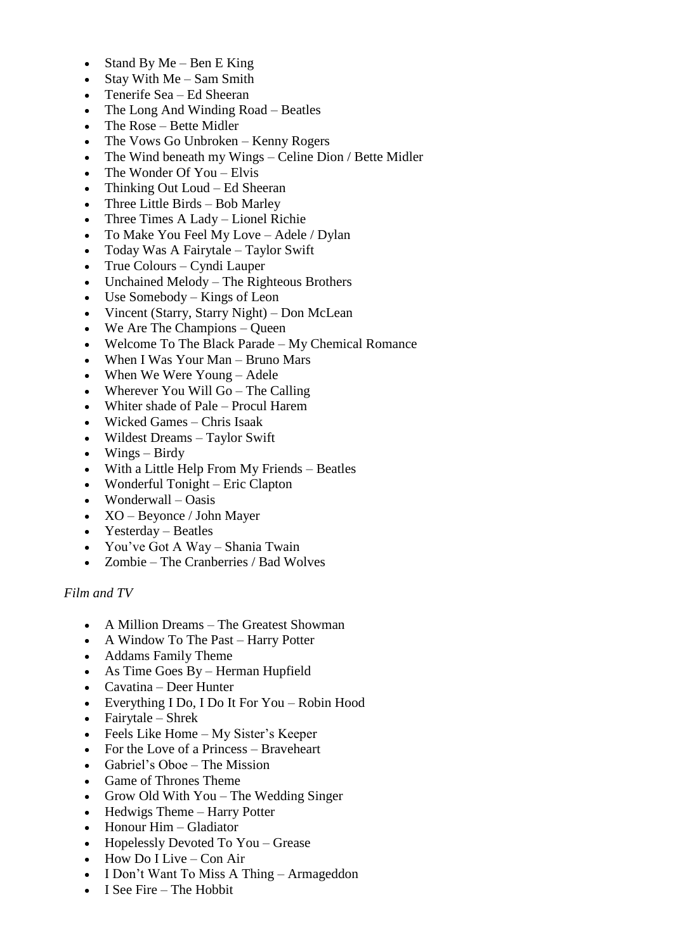- $\bullet$  Stand By Me Ben E King
- $\bullet$  Stay With Me Sam Smith
- Tenerife Sea Ed Sheeran
- The Long And Winding Road Beatles
- The Rose Bette Midler
- The Vows Go Unbroken Kenny Rogers
- The Wind beneath my Wings Celine Dion / Bette Midler
- $\bullet$  The Wonder Of You Elvis
- Thinking Out Loud Ed Sheeran
- Three Little Birds Bob Marley
- Three Times A Lady Lionel Richie
- To Make You Feel My Love Adele / Dylan
- Today Was A Fairytale Taylor Swift
- True Colours Cyndi Lauper
- Unchained Melody The Righteous Brothers
- Use Somebody Kings of Leon
- Vincent (Starry, Starry Night) Don McLean
- We Are The Champions Queen
- Welcome To The Black Parade My Chemical Romance
- When I Was Your Man Bruno Mars
- When We Were Young Adele
- Wherever You Will Go The Calling
- Whiter shade of Pale Procul Harem
- Wicked Games Chris Isaak
- Wildest Dreams Taylor Swift
- $\bullet$  Wings Birdy
- With a Little Help From My Friends Beatles
- Wonderful Tonight Eric Clapton
- Wonderwall Oasis
- XO Beyonce / John Mayer
- Yesterday Beatles
- You've Got A Way Shania Twain
- Zombie The Cranberries / Bad Wolves

## *Film and TV*

- A Million Dreams The Greatest Showman
- A Window To The Past Harry Potter
- Addams Family Theme
- As Time Goes By Herman Hupfield
- Cavatina Deer Hunter
- Everything I Do, I Do It For You Robin Hood
- $\bullet$  Fairytale Shrek
- Feels Like Home My Sister's Keeper
- For the Love of a Princess Braveheart
- Gabriel's Oboe The Mission
- Game of Thrones Theme
- Grow Old With You The Wedding Singer
- Hedwigs Theme Harry Potter
- Honour Him Gladiator
- Hopelessly Devoted To You Grease
- $\bullet$  How Do I Live Con Air
- I Don't Want To Miss A Thing Armageddon
- I See Fire The Hobbit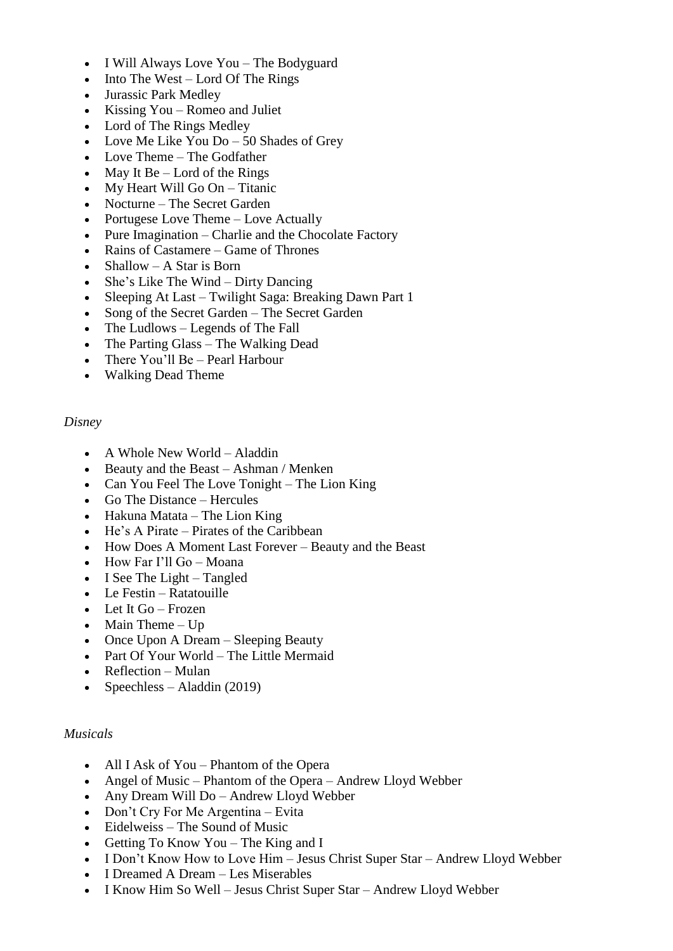- I Will Always Love You The Bodyguard
- $\bullet$  Into The West Lord Of The Rings
- Jurassic Park Medley
- Kissing You Romeo and Juliet
- Lord of The Rings Medley
- Love Me Like You  $Do 50$  Shades of Grey
- Love Theme The Godfather
- $\bullet$  May It Be Lord of the Rings
- $\bullet$  My Heart Will Go On Titanic
- Nocturne The Secret Garden
- Portugese Love Theme Love Actually
- Pure Imagination Charlie and the Chocolate Factory
- Rains of Castamere Game of Thrones
- Shallow A Star is Born
- She's Like The Wind Dirty Dancing
- Sleeping At Last Twilight Saga: Breaking Dawn Part 1
- Song of the Secret Garden The Secret Garden
- The Ludlows Legends of The Fall
- The Parting Glass The Walking Dead
- There You'll Be Pearl Harbour
- Walking Dead Theme

#### *Disney*

- A Whole New World Aladdin
- Beauty and the Beast Ashman / Menken
- Can You Feel The Love Tonight The Lion King
- Go The Distance Hercules
- $\bullet$  Hakuna Matata The Lion King
- He's A Pirate Pirates of the Caribbean
- How Does A Moment Last Forever Beauty and the Beast
- How Far I'll Go Moana
- $\bullet$  I See The Light Tangled
- $\bullet$  Le Festin Ratatouille
- $\bullet$  Let It Go Frozen
- $\bullet$  Main Theme Up
- Once Upon A Dream Sleeping Beauty
- Part Of Your World The Little Mermaid
- Reflection Mulan
- Speechless Aladdin  $(2019)$

#### *Musicals*

- All I Ask of You Phantom of the Opera
- Angel of Music Phantom of the Opera Andrew Lloyd Webber
- Any Dream Will Do Andrew Lloyd Webber
- Don't Cry For Me Argentina Evita
- Eidelweiss The Sound of Music
- Getting To Know You The King and I
- I Don't Know How to Love Him Jesus Christ Super Star Andrew Lloyd Webber
- I Dreamed A Dream Les Miserables
- I Know Him So Well Jesus Christ Super Star Andrew Lloyd Webber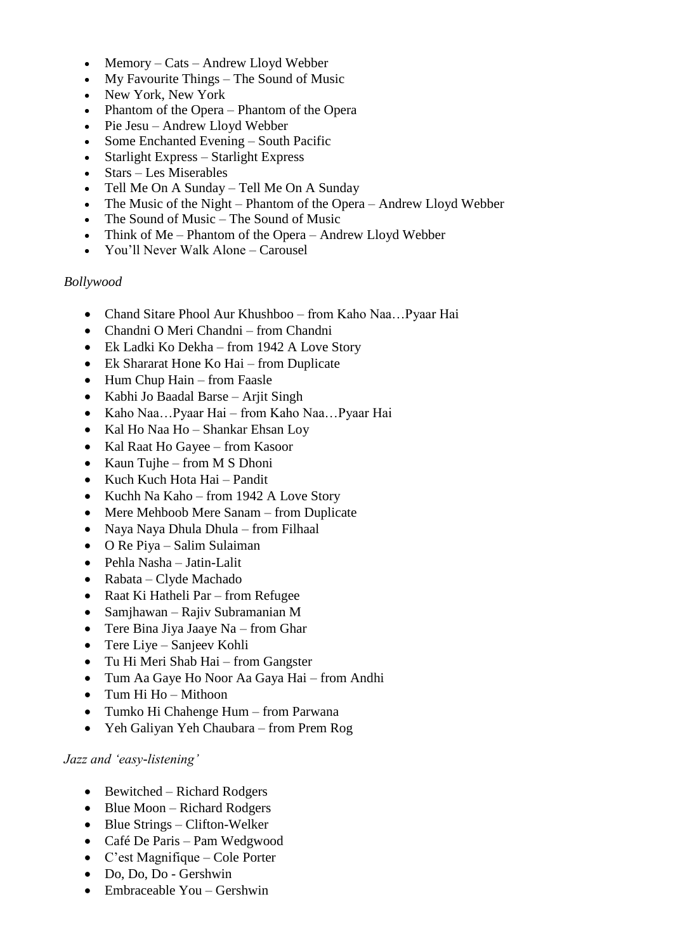- Memory Cats Andrew Lloyd Webber
- My Favourite Things The Sound of Music
- New York, New York
- Phantom of the Opera Phantom of the Opera
- Pie Jesu Andrew Lloyd Webber
- Some Enchanted Evening South Pacific
- Starlight Express Starlight Express
- Stars Les Miserables
- Tell Me On A Sunday Tell Me On A Sunday
- The Music of the Night Phantom of the Opera Andrew Lloyd Webber
- The Sound of Music The Sound of Music
- Think of Me Phantom of the Opera Andrew Lloyd Webber
- You'll Never Walk Alone Carousel

#### *Bollywood*

- Chand Sitare Phool Aur Khushboo from Kaho Naa…Pyaar Hai
- Chandni O Meri Chandni from Chandni
- Ek Ladki Ko Dekha from 1942 A Love Story
- Ek Shararat Hone Ko Hai from Duplicate
- Hum Chup Hain from Faasle
- Kabhi Jo Baadal Barse Arjit Singh
- Kaho Naa…Pyaar Hai from Kaho Naa…Pyaar Hai
- Kal Ho Naa Ho Shankar Ehsan Loy
- Kal Raat Ho Gayee from Kasoor
- Kaun Tujhe from M S Dhoni
- Kuch Kuch Hota Hai Pandit
- Kuchh Na Kaho from 1942 A Love Story
- Mere Mehboob Mere Sanam from Duplicate
- Naya Naya Dhula Dhula from Filhaal
- O Re Piya Salim Sulaiman
- Pehla Nasha Jatin-Lalit
- Rabata Clyde Machado
- Raat Ki Hatheli Par from Refugee
- Samjhawan Rajiv Subramanian M
- Tere Bina Jiya Jaaye Na from Ghar
- Tere Liye Sanjeev Kohli
- Tu Hi Meri Shab Hai from Gangster
- Tum Aa Gaye Ho Noor Aa Gaya Hai from Andhi
- Tum Hi Ho Mithoon
- Tumko Hi Chahenge Hum from Parwana
- Yeh Galiyan Yeh Chaubara from Prem Rog

## *Jazz and 'easy-listening'*

- Bewitched Richard Rodgers
- $\bullet$  Blue Moon Richard Rodgers
- Blue Strings Clifton-Welker
- Café De Paris Pam Wedgwood
- C'est Magnifique Cole Porter
- Do, Do, Do Gershwin
- Embraceable You Gershwin